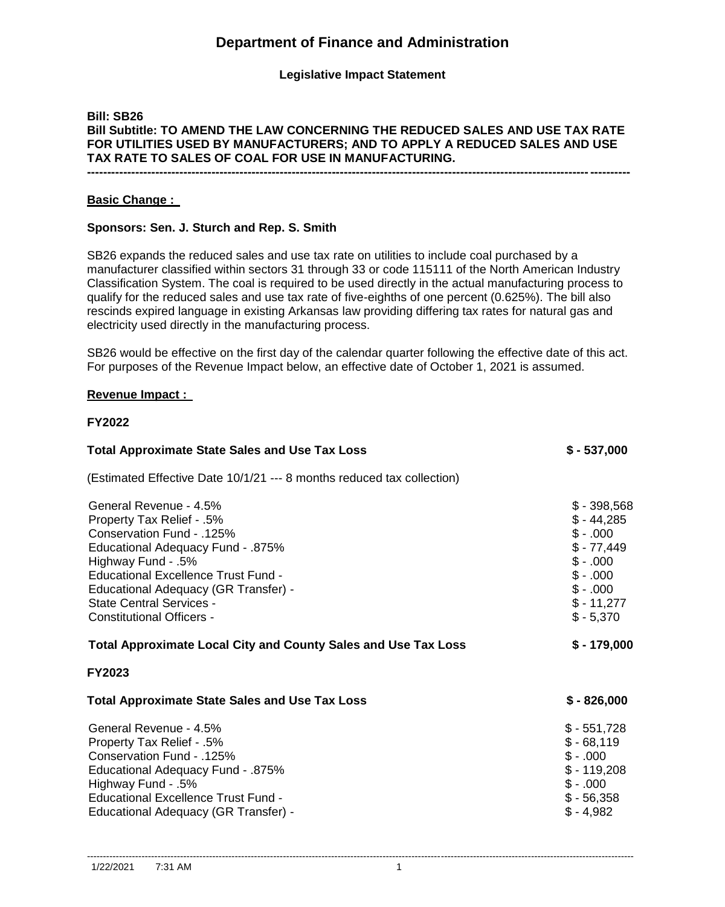# **Department of Finance and Administration**

## **Legislative Impact Statement**

## **Bill: SB26 Bill Subtitle: TO AMEND THE LAW CONCERNING THE REDUCED SALES AND USE TAX RATE FOR UTILITIES USED BY MANUFACTURERS; AND TO APPLY A REDUCED SALES AND USE TAX RATE TO SALES OF COAL FOR USE IN MANUFACTURING.**

**---------------------------------------------------------------------------------------------------------------------------------------**

#### **Basic Change :**

#### **Sponsors: Sen. J. Sturch and Rep. S. Smith**

SB26 expands the reduced sales and use tax rate on utilities to include coal purchased by a manufacturer classified within sectors 31 through 33 or code 115111 of the North American Industry Classification System. The coal is required to be used directly in the actual manufacturing process to qualify for the reduced sales and use tax rate of five-eighths of one percent (0.625%). The bill also rescinds expired language in existing Arkansas law providing differing tax rates for natural gas and electricity used directly in the manufacturing process.

SB26 would be effective on the first day of the calendar quarter following the effective date of this act. For purposes of the Revenue Impact below, an effective date of October 1, 2021 is assumed.

#### **Revenue Impact :**

#### **FY2022**

| <b>Total Approximate State Sales and Use Tax Loss</b>                                                                                                                                                                                                                                                    | $$ -537,000$                                                                                                             |
|----------------------------------------------------------------------------------------------------------------------------------------------------------------------------------------------------------------------------------------------------------------------------------------------------------|--------------------------------------------------------------------------------------------------------------------------|
| (Estimated Effective Date 10/1/21 --- 8 months reduced tax collection)                                                                                                                                                                                                                                   |                                                                                                                          |
| General Revenue - 4.5%<br>Property Tax Relief - .5%<br>Conservation Fund - .125%<br><b>Educational Adequacy Fund - .875%</b><br>Highway Fund - .5%<br>Educational Excellence Trust Fund -<br>Educational Adequacy (GR Transfer) -<br><b>State Central Services -</b><br><b>Constitutional Officers -</b> | $$ -398,568$<br>$$ -44,285$<br>$$-.000$<br>$$ -77,449$<br>$$-.000$<br>$$-.000$<br>$$-.000$<br>$$ - 11,277$<br>$$ -5,370$ |
| <b>Total Approximate Local City and County Sales and Use Tax Loss</b>                                                                                                                                                                                                                                    | $$ - 179,000$                                                                                                            |
| FY2023                                                                                                                                                                                                                                                                                                   |                                                                                                                          |
| <b>Total Approximate State Sales and Use Tax Loss</b>                                                                                                                                                                                                                                                    | $$ - 826,000$                                                                                                            |
| General Revenue - 4.5%<br>Property Tax Relief - .5%<br>Conservation Fund - .125%<br><b>Educational Adequacy Fund - .875%</b><br>Highway Fund - .5%<br>Educational Excellence Trust Fund -<br>Educational Adequacy (GR Transfer) -                                                                        | $$-551,728$<br>$$-68,119$<br>$$-.000$<br>$$ - 119,208$<br>$$-.000$<br>$$ -56,358$<br>$$ -4,982$                          |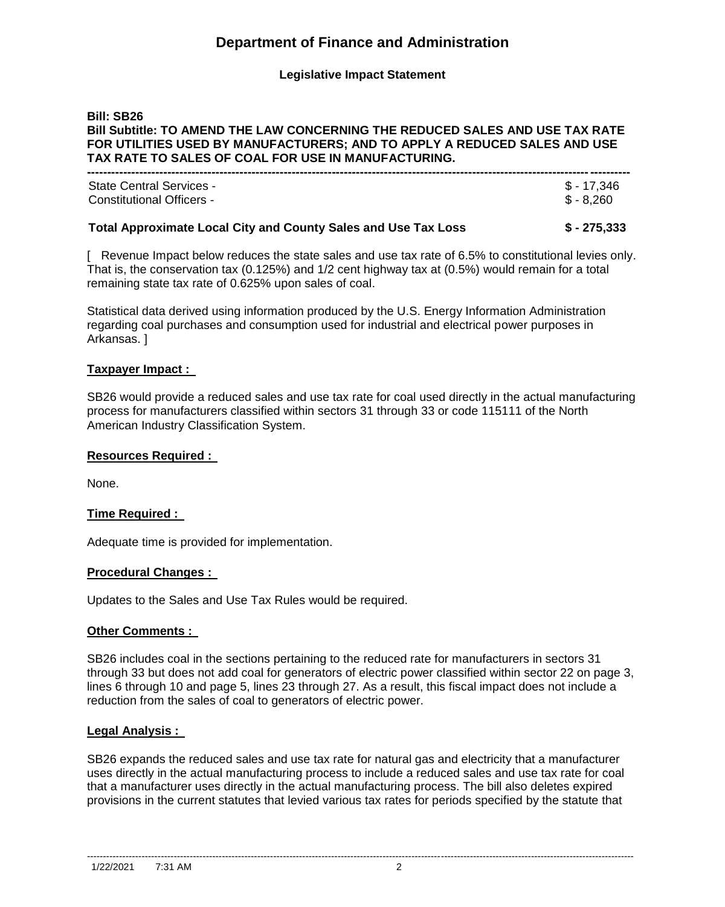# **Department of Finance and Administration**

## **Legislative Impact Statement**

#### **Bill: SB26 Bill Subtitle: TO AMEND THE LAW CONCERNING THE REDUCED SALES AND USE TAX RATE FOR UTILITIES USED BY MANUFACTURERS; AND TO APPLY A REDUCED SALES AND USE TAX RATE TO SALES OF COAL FOR USE IN MANUFACTURING.**

| \$ - 17.346<br><b>State Central Services -</b><br>$$ - 8.260$<br>Constitutional Officers - | <b>Total Approximate Local City and County Sales and Use Tax Loss</b> | \$ - 275.333 |
|--------------------------------------------------------------------------------------------|-----------------------------------------------------------------------|--------------|
|                                                                                            |                                                                       |              |

[ Revenue Impact below reduces the state sales and use tax rate of 6.5% to constitutional levies only. That is, the conservation tax (0.125%) and 1/2 cent highway tax at (0.5%) would remain for a total remaining state tax rate of 0.625% upon sales of coal.

Statistical data derived using information produced by the U.S. Energy Information Administration regarding coal purchases and consumption used for industrial and electrical power purposes in Arkansas. ]

#### **Taxpayer Impact :**

SB26 would provide a reduced sales and use tax rate for coal used directly in the actual manufacturing process for manufacturers classified within sectors 31 through 33 or code 115111 of the North American Industry Classification System.

#### **Resources Required :**

None.

## **Time Required :**

Adequate time is provided for implementation.

#### **Procedural Changes :**

Updates to the Sales and Use Tax Rules would be required.

#### **Other Comments :**

SB26 includes coal in the sections pertaining to the reduced rate for manufacturers in sectors 31 through 33 but does not add coal for generators of electric power classified within sector 22 on page 3, lines 6 through 10 and page 5, lines 23 through 27. As a result, this fiscal impact does not include a reduction from the sales of coal to generators of electric power.

#### **Legal Analysis :**

SB26 expands the reduced sales and use tax rate for natural gas and electricity that a manufacturer uses directly in the actual manufacturing process to include a reduced sales and use tax rate for coal that a manufacturer uses directly in the actual manufacturing process. The bill also deletes expired provisions in the current statutes that levied various tax rates for periods specified by the statute that

--------------------------------------------------------------------------------------------------------------------------------------------------------------------------